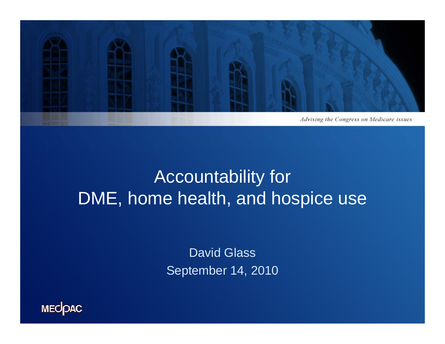

## Accountability for DME, home health, and hospice use

David Glass September 14, 2010

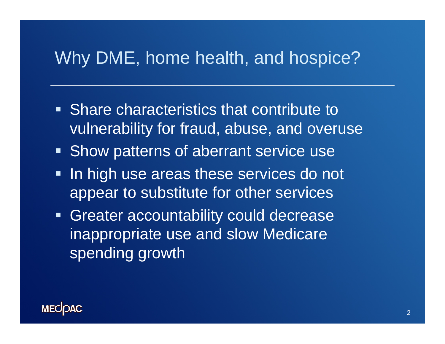### Why DME, home health, and hospice?

- $\blacksquare$  Share characteristics that contribute to vulnerability for fraud, abuse, and overuse
- **Show patterns of aberrant service use**
- $\blacksquare$  In high use areas these services do not appear to substitute for other services
- **Greater accountability could decrease** inappropriate use and slow Medicare spending growth

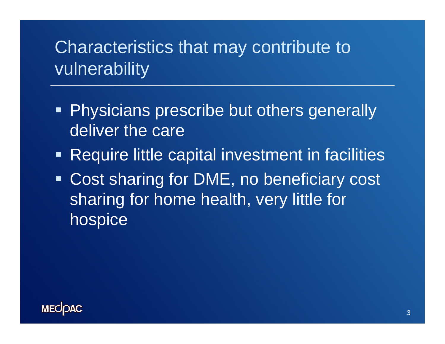## Characteristics that may contribute to vulnerability

- Physicians prescribe but others generally deliver the care
- Require little capital investment in facilities
- Cost sharing for DME, no beneficiary cost sharing for home health, very little for hospice

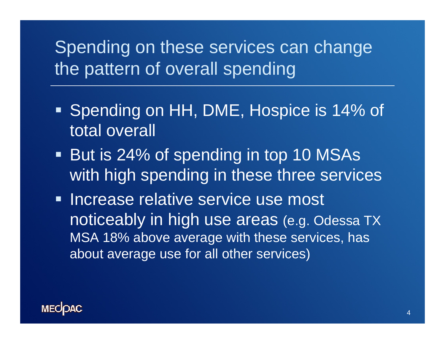## Spending on these services can change the pattern of overall spending

- Spending on HH, DME, Hospice is 14% of total overall
- But is 24% of spending in top 10 MSAs with high spending in these three services
- **Increase relative service use most** noticeably in high use areas (e.g. Odessa TX MSA 18% above average with these services, has about average use for all other services)

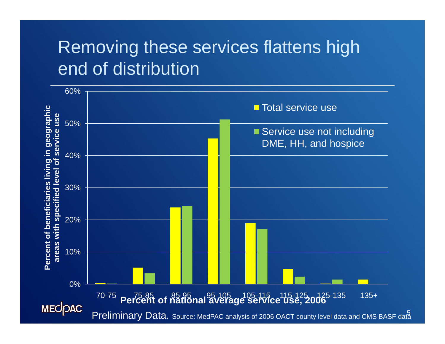## Removing these services flattens high end of distribution

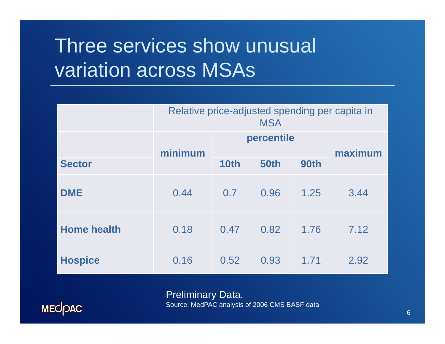# Three services show unusual variation across MSAs

|                    | Relative price-adjusted spending per capita in<br><b>MSA</b> |            |             |         |      |  |
|--------------------|--------------------------------------------------------------|------------|-------------|---------|------|--|
|                    | minimum                                                      | percentile |             | maximum |      |  |
| <b>Sector</b>      |                                                              | 10th       | <b>50th</b> | 90th    |      |  |
| <b>DME</b>         | 0.44                                                         | 0.7        | 0.96        | 1.25    | 3.44 |  |
| <b>Home health</b> | 0.18                                                         | 0.47       | 0.82        | 1.76    | 7.12 |  |
| <b>Hospice</b>     | 0.16                                                         | 0.52       | 0.93        | 1.71    | 2.92 |  |

Preliminary Data. Source: MedPAC analysis of 2006 CMS BASF data

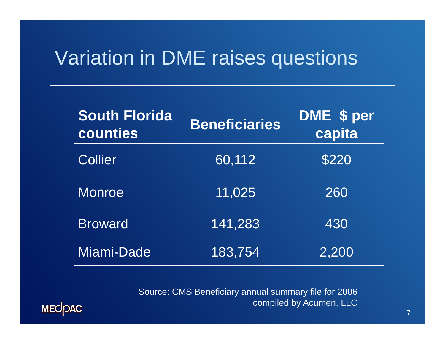## Variation in DME raises questions

| <b>South Florida</b><br>counties | <b>Beneficiaries</b> | DME \$ per<br>capita |  |
|----------------------------------|----------------------|----------------------|--|
| <b>Collier</b>                   | 60,112               | \$220                |  |
| Monroe                           | 11,025               | 260                  |  |
| <b>Broward</b>                   | 141,283              | 430                  |  |
| Miami-Dade                       | 183,754              | 2,200                |  |

Source: CMS Beneficiary annual summary file for 2006 compiled by Acumen, LLC

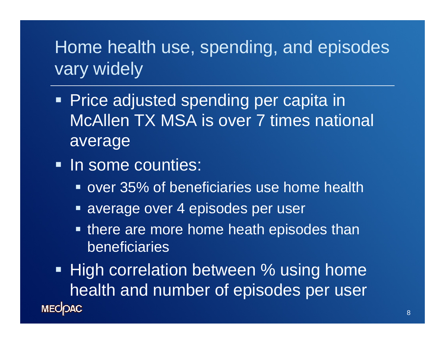### Home health use, spending, and episodes vary widely

- Price adjusted spending per capita in McAllen TX MSA is over 7 times national average
- In some counties:
	- **over 35% of beneficiaries use home health**
	- **Example 3 average over 4 episodes per user**
	- **there are more home heath episodes than** beneficiaries

**High correlation between % using home** health and number of episodes per user **MECOAC**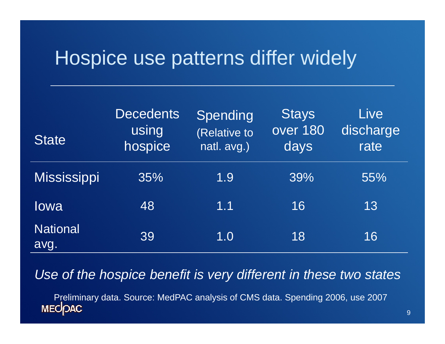## Hospice use patterns differ widely

| <b>State</b>            | <b>Decedents</b><br>using<br>hospice | Spending<br>(Relative to<br>natl. avg.) | <b>Stays</b><br>over 180<br>days | Live<br>discharge<br>rate |
|-------------------------|--------------------------------------|-----------------------------------------|----------------------------------|---------------------------|
| <b>Mississippi</b>      | 35%                                  | 1.9                                     | 39%                              | 55%                       |
| lowa                    | 48                                   | 1.1                                     | 16                               | 13                        |
| <b>National</b><br>avg. | 39                                   | 1.0                                     | 18                               | 16                        |

*Use of the hospice benefit is very different in these two states p y*

Preliminary data. Source: MedPAC analysis of CMS data. Spending 2006, use 2007<br>MECOAC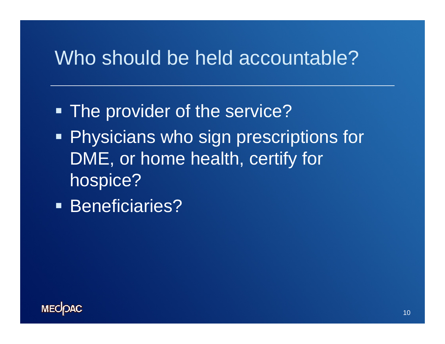### Who should be held accountable?

- The provider of the service?
- **Physicians who sign prescriptions for** DME, or home health, certify for hospice?
- **Beneficiaries?**

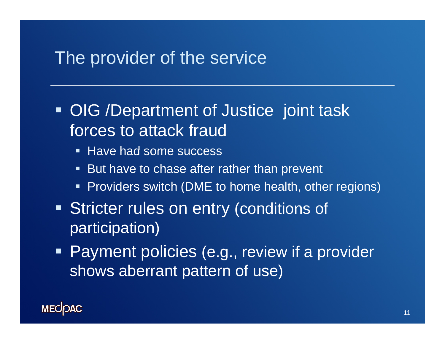#### The provider of the service

• OIG /Department of Justice joint task forces to attack fraud

- **Have had some success**
- $\blacksquare$ But have to chase after rather than prevent
- **Providers switch (DME to home health, other regions)**
- **Stricter rules on entry (conditions of** participation)
- **Payment policies (e.g., review if a provider** shows aberrant pattern of use)

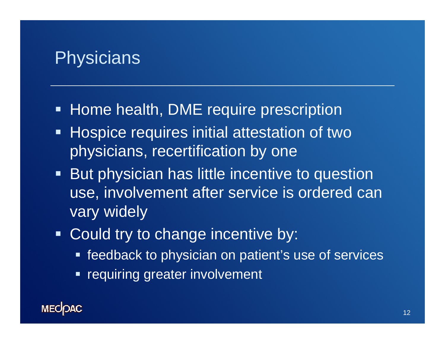### **Physicians**

- Home health, DME require prescription
- **Hospice requires initial attestation of two** physicians, recertification by one
- $\blacksquare$  But physician has little incentive to question use, involvement after service is ordered can vary widely
- **Could try to change incentive by:** 
	- **Figure 1** feedback to physician on patient's use of services
	- e<br>S requiring greater involvement

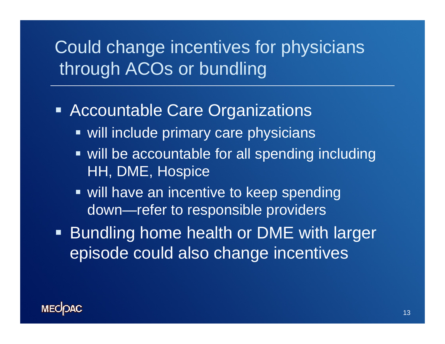## Could change incentives for physicians through ACOs or bundling

- **Accountable Care Organizations** 
	- **will include primary care physicians**
	- will be accountable for all spending including HH, DME, Hospice
	- **will have an incentive to keep spending** down—refer to responsible providers
- Bundling home health or DME with larger episode could also change incentives

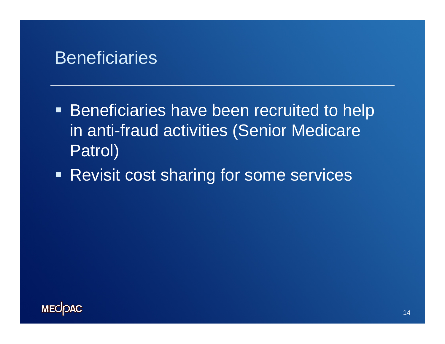#### **Beneficiaries**

- **Beneficiaries have been recruited to help** in anti-fraud activities (Senior Medicare Patrol)
- **Revisit cost sharing for some services**